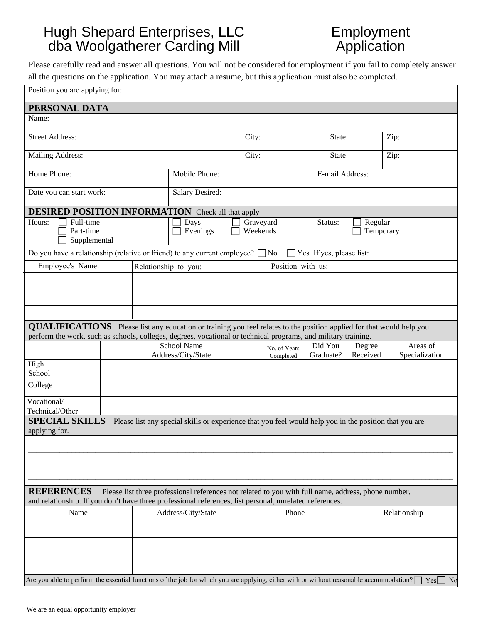## *Application Bidder Carding Mill* Hugh Shepard Enterprises, LLC dba Woolgatherer Carding Mill

## Employment Application

Please carefully read and answer all questions. You will not be considered for employment if you fail to completely answer all the questions on the application. You may attach a resume, but this application must also be completed.

| Position you are applying for:                                                                                                                                                                                                                 |  |                                           |                                                                                                        |       |                                 |                 |                          |                |
|------------------------------------------------------------------------------------------------------------------------------------------------------------------------------------------------------------------------------------------------|--|-------------------------------------------|--------------------------------------------------------------------------------------------------------|-------|---------------------------------|-----------------|--------------------------|----------------|
| PERSONAL DATA                                                                                                                                                                                                                                  |  |                                           |                                                                                                        |       |                                 |                 |                          |                |
| Name:                                                                                                                                                                                                                                          |  |                                           |                                                                                                        |       |                                 |                 |                          |                |
| <b>Street Address:</b>                                                                                                                                                                                                                         |  |                                           | City:                                                                                                  |       |                                 | State:          | Zip:                     |                |
| Mailing Address:                                                                                                                                                                                                                               |  |                                           |                                                                                                        | City: |                                 |                 | <b>State</b>             | Zip:           |
| Home Phone:                                                                                                                                                                                                                                    |  |                                           | Mobile Phone:                                                                                          |       |                                 | E-mail Address: |                          |                |
| Date you can start work:                                                                                                                                                                                                                       |  |                                           | Salary Desired:                                                                                        |       |                                 |                 |                          |                |
| <b>DESIRED POSITION INFORMATION</b> Check all that apply                                                                                                                                                                                       |  |                                           |                                                                                                        |       |                                 |                 |                          |                |
| Hours:<br>Full-time<br>Part-time<br>Supplemental                                                                                                                                                                                               |  | Days<br>Graveyard<br>Weekends<br>Evenings |                                                                                                        |       | Status:<br>Regular<br>Temporary |                 |                          |                |
| Do you have a relationship (relative or friend) to any current employee? $\Box$ No                                                                                                                                                             |  |                                           |                                                                                                        |       |                                 |                 | Yes If yes, please list: |                |
| Employee's Name:                                                                                                                                                                                                                               |  | Relationship to you:                      |                                                                                                        |       | Position with us:               |                 |                          |                |
|                                                                                                                                                                                                                                                |  |                                           |                                                                                                        |       |                                 |                 |                          |                |
|                                                                                                                                                                                                                                                |  |                                           |                                                                                                        |       |                                 |                 |                          |                |
|                                                                                                                                                                                                                                                |  |                                           |                                                                                                        |       |                                 |                 |                          |                |
| <b>QUALIFICATIONS</b> Please list any education or training you feel relates to the position applied for that would help you<br>perform the work, such as schools, colleges, degrees, vocational or technical programs, and military training. |  |                                           |                                                                                                        |       |                                 |                 |                          |                |
|                                                                                                                                                                                                                                                |  |                                           | <b>School Name</b>                                                                                     |       | No. of Years                    | Did You         | Degree                   | Areas of       |
|                                                                                                                                                                                                                                                |  |                                           | Address/City/State                                                                                     |       | Completed                       | Graduate?       | Received                 | Specialization |
| High<br>School                                                                                                                                                                                                                                 |  |                                           |                                                                                                        |       |                                 |                 |                          |                |
| College                                                                                                                                                                                                                                        |  |                                           |                                                                                                        |       |                                 |                 |                          |                |
| Vocational/<br>Technical/Other                                                                                                                                                                                                                 |  |                                           |                                                                                                        |       |                                 |                 |                          |                |
| <b>SPECIAL SKILLS</b><br>applying for.                                                                                                                                                                                                         |  |                                           | Please list any special skills or experience that you feel would help you in the position that you are |       |                                 |                 |                          |                |
|                                                                                                                                                                                                                                                |  |                                           |                                                                                                        |       |                                 |                 |                          |                |
|                                                                                                                                                                                                                                                |  |                                           |                                                                                                        |       |                                 |                 |                          |                |
|                                                                                                                                                                                                                                                |  |                                           |                                                                                                        |       |                                 |                 |                          |                |
| <b>REFERENCES</b><br>Please list three professional references not related to you with full name, address, phone number,<br>and relationship. If you don't have three professional references, list personal, unrelated references.            |  |                                           |                                                                                                        |       |                                 |                 |                          |                |
|                                                                                                                                                                                                                                                |  |                                           | Address/City/State                                                                                     |       | Phone                           |                 |                          | Relationship   |
| Name                                                                                                                                                                                                                                           |  |                                           |                                                                                                        |       |                                 |                 |                          |                |
|                                                                                                                                                                                                                                                |  |                                           |                                                                                                        |       |                                 |                 |                          |                |
|                                                                                                                                                                                                                                                |  |                                           |                                                                                                        |       |                                 |                 |                          |                |
|                                                                                                                                                                                                                                                |  |                                           |                                                                                                        |       |                                 |                 |                          |                |
| Are you able to perform the essential functions of the job for which you are applying, either with or without reasonable accommodation?                                                                                                        |  |                                           |                                                                                                        |       |                                 |                 |                          | No<br>Yes      |